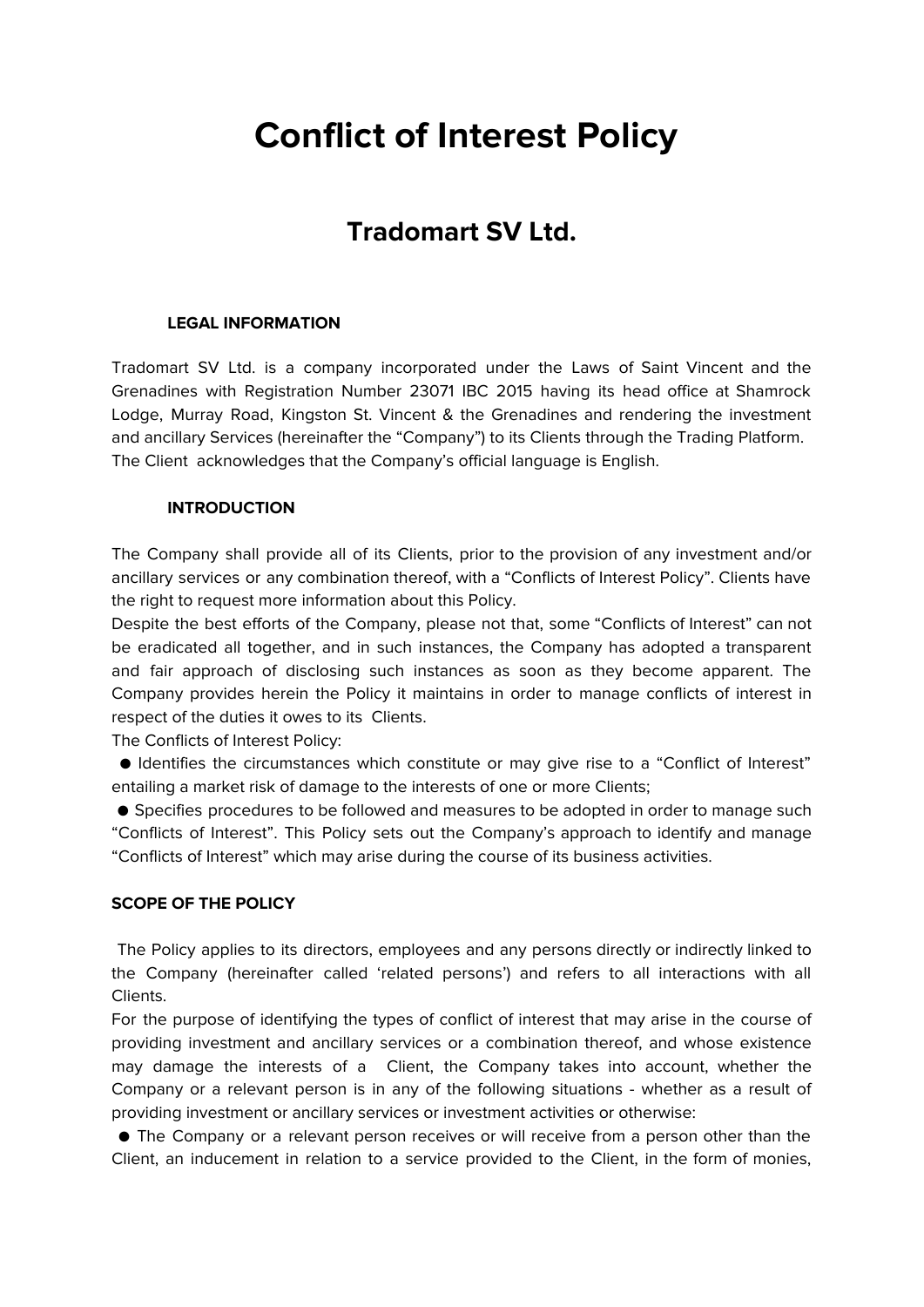# **Conflict of Interest Policy**

# **Tradomart SV Ltd.**

## **LEGAL INFORMATION**

Tradomart SV Ltd. is a company incorporated under the Laws of Saint Vincent and the Grenadines with Registration Number 23071 IBC 2015 having its head office at Shamrock Lodge, Murray Road, Kingston St. Vincent & the Grenadines and rendering the investment and ancillary Services (hereinafter the "Company") to its Clients through the Trading Platform. The Client acknowledges that the Company's official language is English.

## **INTRODUCTION**

The Company shall provide all of its Clients, prior to the provision of any investment and/or ancillary services or any combination thereof, with a "Conflicts of Interest Policy". Clients have the right to request more information about this Policy.

Despite the best efforts of the Company, please not that, some "Conflicts of Interest" can not be eradicated all together, and in such instances, the Company has adopted a transparent and fair approach of disclosing such instances as soon as they become apparent. The Company provides herein the Policy it maintains in order to manage conflicts of interest in respect of the duties it owes to its Clients.

The Conflicts of Interest Policy:

● Identifies the circumstances which constitute or may give rise to a "Conflict of Interest" entailing a market risk of damage to the interests of one or more Clients;

● Specifies procedures to be followed and measures to be adopted in order to manage such "Conflicts of Interest". This Policy sets out the Company's approach to identify and manage "Conflicts of Interest" which may arise during the course of its business activities.

#### **SCOPE OF THE POLICY**

The Policy applies to its directors, employees and any persons directly or indirectly linked to the Company (hereinafter called 'related persons') and refers to all interactions with all Clients.

For the purpose of identifying the types of conflict of interest that may arise in the course of providing investment and ancillary services or a combination thereof, and whose existence may damage the interests of a Client, the Company takes into account, whether the Company or a relevant person is in any of the following situations - whether as a result of providing investment or ancillary services or investment activities or otherwise:

● The Company or a relevant person receives or will receive from a person other than the Client, an inducement in relation to a service provided to the Client, in the form of monies,